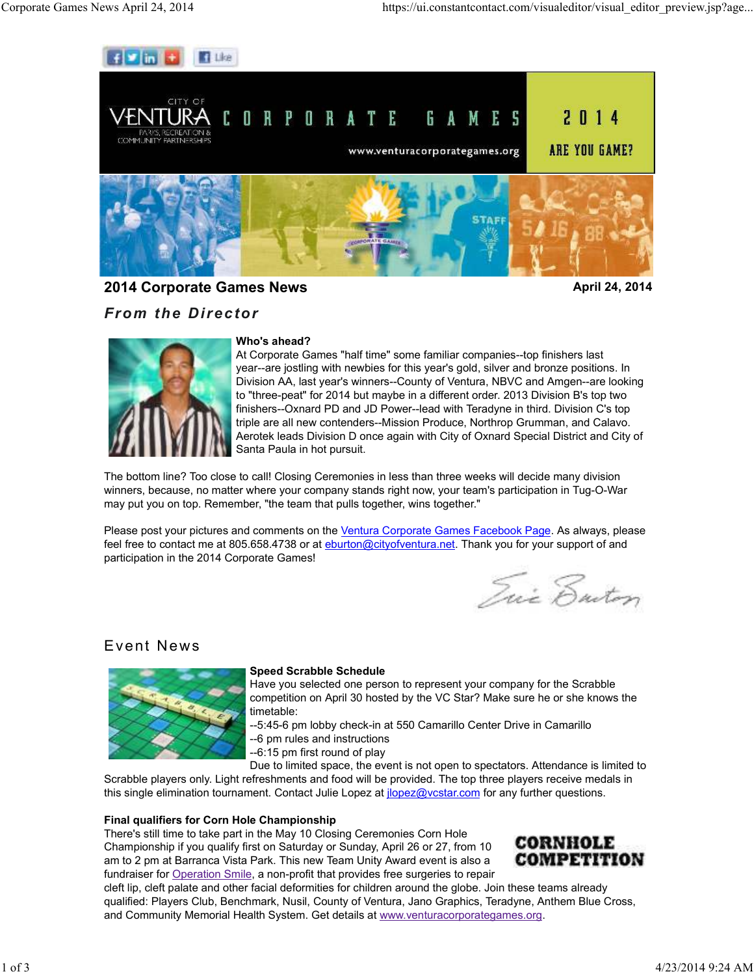

**2014 Corporate Games News April 24, 2014 April 24, 2014** 

## *From the Director*



## **Who's ahead?**

At Corporate Games "half time" some familiar companies--top finishers last year--are jostling with newbies for this year's gold, silver and bronze positions. In Division AA, last year's winners--County of Ventura, NBVC and Amgen--are looking to "three-peat" for 2014 but maybe in a different order. 2013 Division B's top two finishers--Oxnard PD and JD Power--lead with Teradyne in third. Division C's top triple are all new contenders--Mission Produce, Northrop Grumman, and Calavo. Aerotek leads Division D once again with City of Oxnard Special District and City of Santa Paula in hot pursuit.

The bottom line? Too close to call! Closing Ceremonies in less than three weeks will decide many division winners, because, no matter where your company stands right now, your team's participation in Tug-O-War may put you on top. Remember, "the team that pulls together, wins together."

Please post your pictures and comments on the Ventura Corporate Games Facebook Page. As always, please feel free to contact me at 805.658.4738 or at eburton@cityofventura.net. Thank you for your support of and participation in the 2014 Corporate Games!

Qui Enton

# Event News



## **Speed Scrabble Schedule**

Have you selected one person to represent your company for the Scrabble competition on April 30 hosted by the VC Star? Make sure he or she knows the timetable:

--5:45-6 pm lobby check-in at 550 Camarillo Center Drive in Camarillo --6 pm rules and instructions

--6:15 pm first round of play

Due to limited space, the event is not open to spectators. Attendance is limited to Scrabble players only. Light refreshments and food will be provided. The top three players receive medals in this single elimination tournament. Contact Julie Lopez at *jlopez@vcstar.com* for any further questions.

## **Final qualifiers for Corn Hole Championship**

There's still time to take part in the May 10 Closing Ceremonies Corn Hole Championship if you qualify first on Saturday or Sunday, April 26 or 27, from 10 am to 2 pm at Barranca Vista Park. This new Team Unity Award event is also a fundraiser for Operation Smile, a non-profit that provides free surgeries to repair



cleft lip, cleft palate and other facial deformities for children around the globe. Join these teams already qualified: Players Club, Benchmark, Nusil, County of Ventura, Jano Graphics, Teradyne, Anthem Blue Cross, and Community Memorial Health System. Get details at www.venturacorporategames.org.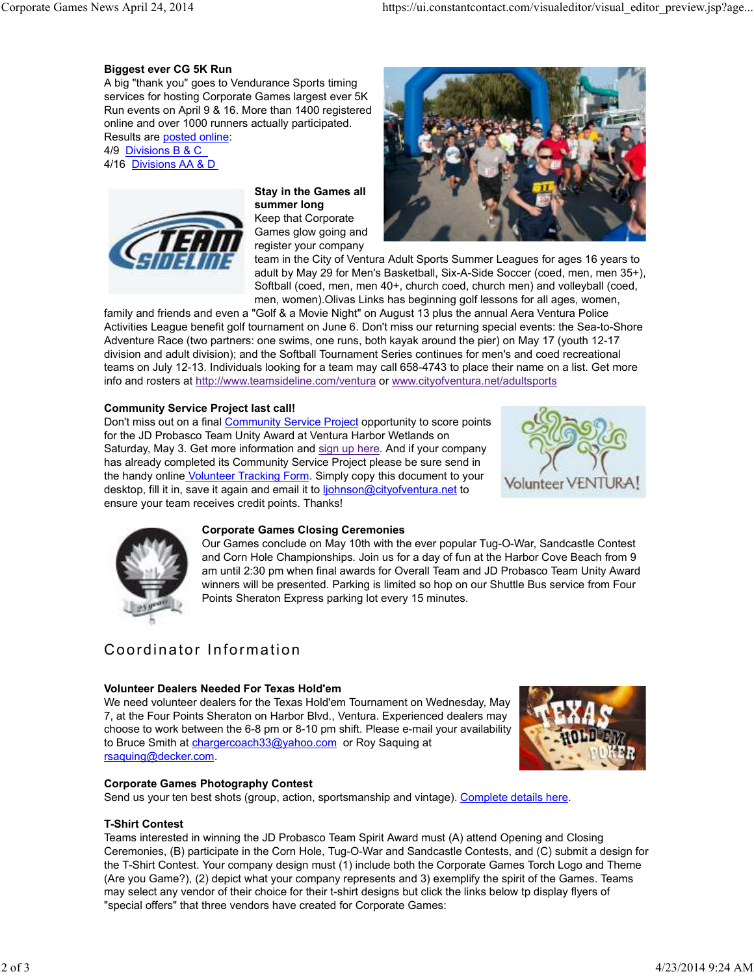#### **Biggest ever CG 5K Run**

A big "thank you" goes to Vendurance Sports timing services for hosting Corporate Games largest ever 5K Run events on April 9 & 16. More than 1400 registered online and over 1000 runners actually participated. Results are posted online:

4/9 Divisions B & C 4/16 Divisions AA & D



**Stay in the Games all summer long**  Keep that Corporate Games glow going and register your company



team in the City of Ventura Adult Sports Summer Leagues for ages 16 years to adult by May 29 for Men's Basketball, Six-A-Side Soccer (coed, men, men 35+), Softball (coed, men, men 40+, church coed, church men) and volleyball (coed, men, women).Olivas Links has beginning golf lessons for all ages, women,

family and friends and even a "Golf & a Movie Night" on August 13 plus the annual Aera Ventura Police Activities League benefit golf tournament on June 6. Don't miss our returning special events: the Sea-to-Shore Adventure Race (two partners: one swims, one runs, both kayak around the pier) on May 17 (youth 12-17 division and adult division); and the Softball Tournament Series continues for men's and coed recreational teams on July 12-13. Individuals looking for a team may call 658-4743 to place their name on a list. Get more info and rosters at http://www.teamsideline.com/ventura or www.cityofventura.net/adultsports

#### **Community Service Project last call!**

Don't miss out on a final Community Service Project opportunity to score points for the JD Probasco Team Unity Award at Ventura Harbor Wetlands on Saturday, May 3. Get more information and sign up here. And if your company has already completed its Community Service Project please be sure send in the handy online Volunteer Tracking Form. Simply copy this document to your desktop, fill it in, save it again and email it to ljohnson@cityofventura.net to ensure your team receives credit points. Thanks!





#### **Corporate Games Closing Ceremonies**

Our Games conclude on May 10th with the ever popular Tug-O-War, Sandcastle Contest and Corn Hole Championships. Join us for a day of fun at the Harbor Cove Beach from 9 am until 2:30 pm when final awards for Overall Team and JD Probasco Team Unity Award winners will be presented. Parking is limited so hop on our Shuttle Bus service from Four Points Sheraton Express parking lot every 15 minutes.

# Coordinator Information

## **Volunteer Dealers Needed For Texas Hold'em**

We need volunteer dealers for the Texas Hold'em Tournament on Wednesday, May 7, at the Four Points Sheraton on Harbor Blvd., Ventura. Experienced dealers may choose to work between the 6-8 pm or 8-10 pm shift. Please e-mail your availability to Bruce Smith at chargercoach33@yahoo.com or Roy Saquing at rsaquing@decker.com.



## **Corporate Games Photography Contest**

Send us your ten best shots (group, action, sportsmanship and vintage). Complete details here.

## **T-Shirt Contest**

Teams interested in winning the JD Probasco Team Spirit Award must (A) attend Opening and Closing Ceremonies, (B) participate in the Corn Hole, Tug-O-War and Sandcastle Contests, and (C) submit a design for the T-Shirt Contest. Your company design must (1) include both the Corporate Games Torch Logo and Theme (Are you Game?), (2) depict what your company represents and 3) exemplify the spirit of the Games. Teams may select any vendor of their choice for their t-shirt designs but click the links below tp display flyers of "special offers" that three vendors have created for Corporate Games: